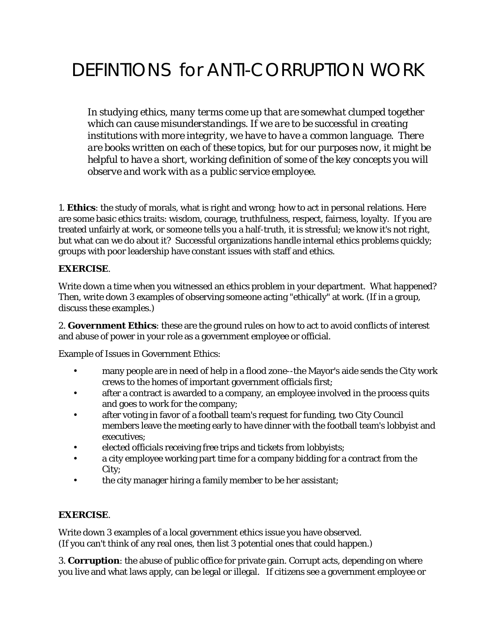# DEFINTIONS for ANTI-CORRUPTION WORK

*In studying ethics, many terms come up that are somewhat clumped together which can cause misunderstandings. If we are to be successful in creating institutions with more integrity, we have to have a common language. There are books written on each of these topics, but for our purposes now, it might be helpful to have a short, working definition of some of the key concepts you will observe and work with as a public service employee.* 

1. **Ethics**: the study of morals, what is right and wrong; how to act in personal relations. Here are some basic ethics traits: wisdom, courage, truthfulness, respect, fairness, loyalty. If you are treated unfairly at work, or someone tells you a half-truth, it is stressful; we know it's not right, but what can we do about it? Successful organizations handle internal ethics problems quickly; groups with poor leadership have constant issues with staff and ethics.

# **EXERCISE**.

Write down a time when you witnessed an ethics problem in your department. What happened? Then, write down 3 examples of observing someone acting "ethically" at work. (If in a group, discuss these examples.)

2. **Government Ethics**: these are the ground rules on how to act to avoid conflicts of interest and abuse of power in your role as a government employee or official.

Example of Issues in Government Ethics:

- many people are in need of help in a flood zone--the Mayor's aide sends the City work crews to the homes of important government officials first;
- after a contract is awarded to a company, an employee involved in the process quits and goes to work for the company;
- after voting in favor of a football team's request for funding, two City Council members leave the meeting early to have dinner with the football team's lobbyist and executives;
- elected officials receiving free trips and tickets from lobbyists;
- a city employee working part time for a company bidding for a contract from the City;
- the city manager hiring a family member to be her assistant;

### **EXERCISE**.

Write down 3 examples of a local government ethics issue you have observed. (If you can't think of any real ones, then list 3 potential ones that could happen.)

3. **Corruption**: the abuse of public office for private gain. Corrupt acts, depending on where you live and what laws apply, can be legal or illegal. If citizens see a government employee or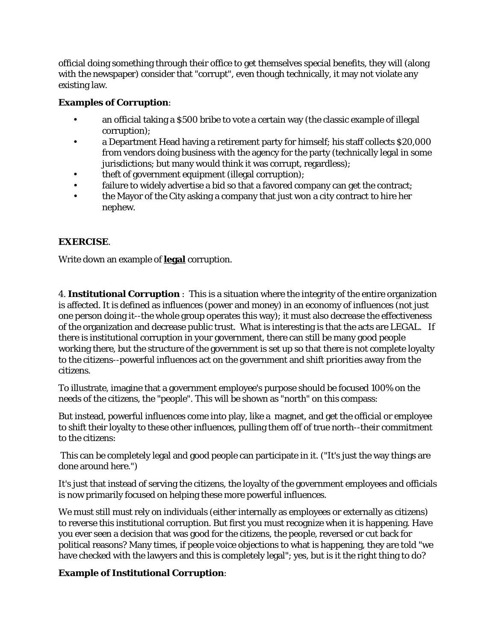official doing something through their office to get themselves special benefits, they will (along with the newspaper) consider that "corrupt", even though technically, it may not violate any existing law.

### **Examples of Corruption**:

- an official taking a \$500 bribe to vote a certain way (the classic example of illegal corruption);
- a Department Head having a retirement party for himself; his staff collects \$20,000 from vendors doing business with the agency for the party (technically legal in some jurisdictions; but many would think it was corrupt, regardless);
- theft of government equipment (illegal corruption);
- failure to widely advertise a bid so that a favored company can get the contract;
- the Mayor of the City asking a company that just won a city contract to hire her nephew.

# **EXERCISE**.

Write down an example of **legal** corruption.

4. **Institutional Corruption** : This is a situation where the integrity of the entire organization is affected. It is defined as influences (power and money) in an economy of influences (not just one person doing it--the whole group operates this way); it must also decrease the effectiveness of the organization and decrease public trust. What is interesting is that the acts are LEGAL. If there is institutional corruption in your government, there can still be many good people working there, but the structure of the government is set up so that there is not complete loyalty to the citizens--powerful influences act on the government and shift priorities away from the citizens.

To illustrate, imagine that a government employee's purpose should be focused 100% on the needs of the citizens, the "people". This will be shown as "north" on this compass:

But instead, powerful influences come into play, like a magnet, and get the official or employee to shift their loyalty to these other influences, pulling them off of true north--their commitment to the citizens:

This can be completely legal and good people can participate in it. ("It's just the way things are done around here.")

It's just that instead of serving the citizens, the loyalty of the government employees and officials is now primarily focused on helping these more powerful influences.

We must still must rely on individuals (either internally as employees or externally as citizens) to reverse this institutional corruption. But first you must recognize when it is happening. Have you ever seen a decision that was good for the citizens, the people, reversed or cut back for political reasons? Many times, if people voice objections to what is happening, they are told "we have checked with the lawyers and this is completely legal"; yes, but is it the right thing to do?

### **Example of Institutional Corruption**: